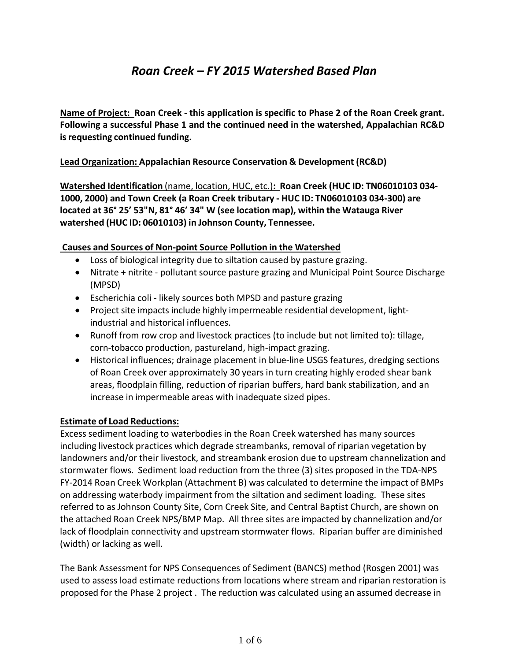## *Roan Creek – FY 2015 Watershed Based Plan*

**Name of Project: Roan Creek ‐ this application is specific to Phase 2 of the Roan Creek grant. Following a successful Phase 1 and the continued need in the watershed, Appalachian RC&D isrequesting continued funding.**

#### **Lead Organization: Appalachian Resource Conservation & Development (RC&D)**

**Watershed Identification** (name, location, HUC, etc.)**: Roan Creek (HUC ID: TN06010103 034‐ 1000, 2000) and Town Creek (a Roan Creek tributary ‐ HUC ID: TN06010103 034‐300) are located at 36° 25' 53"N, 81° 46' 34" W (see location map), within the Watauga River watershed (HUC ID: 06010103) in Johnson County, Tennessee.**

#### **Causes and Sources of Non‐point Source Pollution in the Watershed**

- Loss of biological integrity due to siltation caused by pasture grazing.
- Nitrate + nitrite pollutant source pasture grazing and Municipal Point Source Discharge (MPSD)
- Escherichia coli likely sources both MPSD and pasture grazing
- Project site impacts include highly impermeable residential development, lightindustrial and historical influences.
- Runoff from row crop and livestock practices (to include but not limited to): tillage, corn‐tobacco production, pastureland, high‐impact grazing.
- Historical influences; drainage placement in blue-line USGS features, dredging sections of Roan Creek over approximately 30 years in turn creating highly eroded shear bank areas, floodplain filling, reduction of riparian buffers, hard bank stabilization, and an increase in impermeable areas with inadequate sized pipes.

#### **Estimate of Load Reductions:**

Excess sediment loading to waterbodies in the Roan Creek watershed has many sources including livestock practices which degrade streambanks, removal of riparian vegetation by landowners and/or their livestock, and streambank erosion due to upstream channelization and stormwater flows. Sediment load reduction from the three (3) sites proposed in the TDA‐NPS FY‐2014 Roan Creek Workplan (Attachment B) was calculated to determine the impact of BMPs on addressing waterbody impairment from the siltation and sediment loading. These sites referred to as Johnson County Site, Corn Creek Site, and Central Baptist Church, are shown on the attached Roan Creek NPS/BMP Map. All three sites are impacted by channelization and/or lack of floodplain connectivity and upstream stormwater flows. Riparian buffer are diminished (width) or lacking as well.

The Bank Assessment for NPS Consequences of Sediment (BANCS) method (Rosgen 2001) was used to assess load estimate reductions from locations where stream and riparian restoration is proposed for the Phase 2 project . The reduction was calculated using an assumed decrease in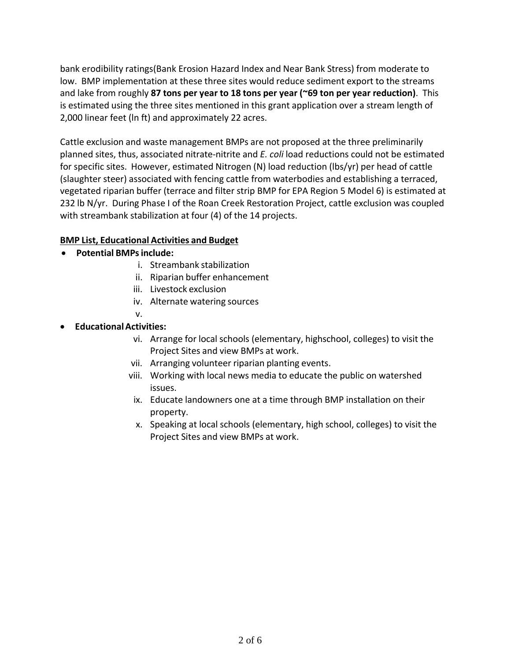bank erodibility ratings(Bank Erosion Hazard Index and Near Bank Stress) from moderate to low. BMP implementation at these three sites would reduce sediment export to the streams and lake from roughly **87 tons per year to 18 tons per year (~69 ton per year reduction)**. This is estimated using the three sites mentioned in this grant application over a stream length of 2,000 linear feet (ln ft) and approximately 22 acres.

Cattle exclusion and waste management BMPs are not proposed at the three preliminarily planned sites, thus, associated nitrate‐nitrite and *E. coli* load reductions could not be estimated for specific sites. However, estimated Nitrogen (N) load reduction (lbs/yr) per head of cattle (slaughter steer) associated with fencing cattle from waterbodies and establishing a terraced, vegetated riparian buffer (terrace and filter strip BMP for EPA Region 5 Model 6) is estimated at 232 lb N/yr. During Phase I of the Roan Creek Restoration Project, cattle exclusion was coupled with streambank stabilization at four (4) of the 14 projects.

#### **BMP List, Educational Activities and Budget**

- **Potential BMPsinclude:**
	- i. Streambank stabilization
	- ii. Riparian buffer enhancement
	- iii. Livestock exclusion
	- iv. Alternate watering sources
	- v.
- **EducationalActivities:**
	- vi. Arrange for local schools (elementary, highschool, colleges) to visit the Project Sites and view BMPs at work.
	- vii. Arranging volunteer riparian planting events.
	- viii. Working with local news media to educate the public on watershed issues.
	- ix. Educate landowners one at a time through BMP installation on their property.
	- x. Speaking at local schools (elementary, high school, colleges) to visit the Project Sites and view BMPs at work.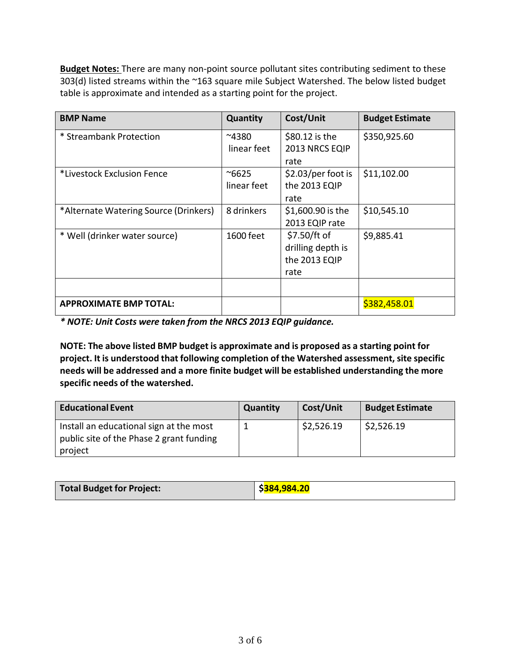**Budget Notes:** There are many non‐point source pollutant sites contributing sediment to these 303(d) listed streams within the ~163 square mile Subject Watershed. The below listed budget table is approximate and intended as a starting point for the project.

| <b>BMP Name</b>                       | Quantity                     | Cost/Unit                                                  | <b>Budget Estimate</b> |
|---------------------------------------|------------------------------|------------------------------------------------------------|------------------------|
| * Streambank Protection               | $^{\sim}4380$<br>linear feet | \$80.12 is the<br>2013 NRCS EQIP<br>rate                   | \$350,925.60           |
| *Livestock Exclusion Fence            | $^{\sim}6625$<br>linear feet | \$2.03/per foot is<br>the 2013 EQIP<br>rate                | \$11,102.00            |
| *Alternate Watering Source (Drinkers) | 8 drinkers                   | \$1,600.90 is the<br>2013 EQIP rate                        | \$10,545.10            |
| * Well (drinker water source)         | 1600 feet                    | \$7.50/ft of<br>drilling depth is<br>the 2013 EQIP<br>rate | \$9,885.41             |
|                                       |                              |                                                            |                        |
| <b>APPROXIMATE BMP TOTAL:</b>         |                              |                                                            | \$382,458.01           |

*\* NOTE: Unit Costs were taken from the NRCS 2013 EQIP guidance.*

**NOTE: The above listed BMP budget is approximate and is proposed as a starting point for project. It is understood that following completion of the Watershed assessment, site specific needs will be addressed and a more finite budget will be established understanding the more specific needs of the watershed.**

| <b>Educational Event</b>                                                                       | Quantity | Cost/Unit  | <b>Budget Estimate</b> |
|------------------------------------------------------------------------------------------------|----------|------------|------------------------|
| Install an educational sign at the most<br>public site of the Phase 2 grant funding<br>project |          | \$2,526.19 | \$2,526.19             |

| <b>Total Budget for Project:</b> | ∣ \$ <mark>384,984.20</mark> |
|----------------------------------|------------------------------|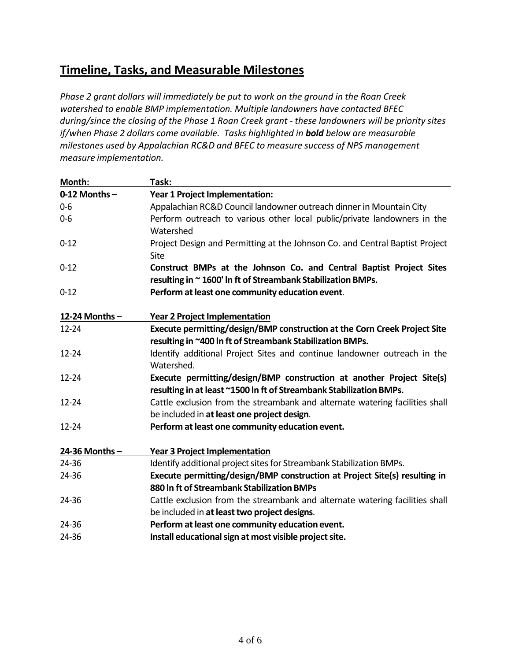### **Timeline, Tasks, and Measurable Milestones**

*Phase 2 grant dollars will immediately be put to work on the ground in the Roan Creek watershed to enable BMP implementation. Multiple landowners have contacted BFEC during/since the closing of the Phase 1 Roan Creek grant ‐ these landowners will be priority sites if/when Phase 2 dollars come available. Tasks highlighted in bold below are measurable milestones used by Appalachian RC&D and BFEC to measure success of NPS management measure implementation.*

| Month:          | Task:                                                                        |
|-----------------|------------------------------------------------------------------------------|
| $0-12$ Months - | Year 1 Project Implementation:                                               |
| $0-6$           | Appalachian RC&D Council landowner outreach dinner in Mountain City          |
| $0-6$           | Perform outreach to various other local public/private landowners in the     |
|                 | Watershed                                                                    |
| $0 - 12$        | Project Design and Permitting at the Johnson Co. and Central Baptist Project |
|                 | Site                                                                         |
| $0 - 12$        | Construct BMPs at the Johnson Co. and Central Baptist Project Sites          |
|                 | resulting in ~ 1600' In ft of Streambank Stabilization BMPs.                 |
| $0 - 12$        | Perform at least one community education event.                              |
| 12-24 Months-   | <b>Year 2 Project Implementation</b>                                         |
| $12 - 24$       | Execute permitting/design/BMP construction at the Corn Creek Project Site    |
|                 | resulting in ~400 In ft of Streambank Stabilization BMPs.                    |
| 12-24           | Identify additional Project Sites and continue landowner outreach in the     |
|                 | Watershed.                                                                   |
| 12-24           | Execute permitting/design/BMP construction at another Project Site(s)        |
|                 | resulting in at least ~1500 In ft of Streambank Stabilization BMPs.          |
| $12 - 24$       | Cattle exclusion from the streambank and alternate watering facilities shall |
|                 | be included in at least one project design.                                  |
| $12 - 24$       | Perform at least one community education event.                              |
| 24-36 Months-   | Year 3 Project Implementation                                                |
| 24-36           | Identify additional project sites for Streambank Stabilization BMPs.         |
| 24-36           | Execute permitting/design/BMP construction at Project Site(s) resulting in   |
|                 | 880 In ft of Streambank Stabilization BMPs                                   |
| 24-36           | Cattle exclusion from the streambank and alternate watering facilities shall |
|                 | be included in at least two project designs.                                 |
| 24-36           | Perform at least one community education event.                              |
| 24-36           | Install educational sign at most visible project site.                       |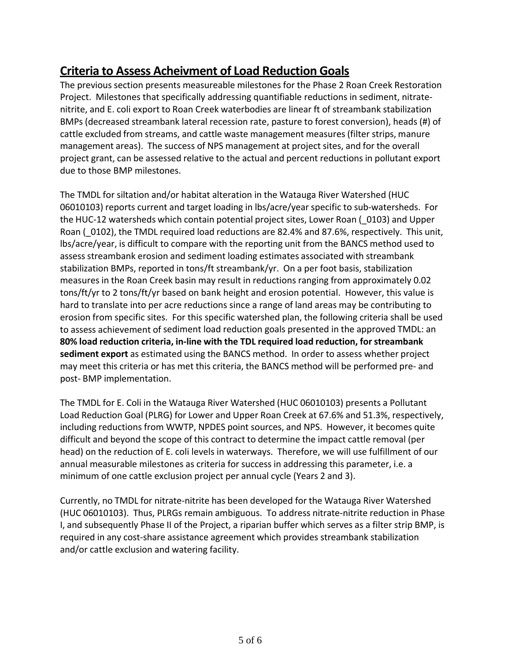# **Criteria to Assess Acheivment of Load Reduction Goals**

The previous section presents measureable milestones for the Phase 2 Roan Creek Restoration Project. Milestones that specifically addressing quantifiable reductions in sediment, nitrate‐ nitrite, and E. coli export to Roan Creek waterbodies are linear ft of streambank stabilization BMPs (decreased streambank lateral recession rate, pasture to forest conversion), heads (#) of cattle excluded from streams, and cattle waste management measures(filter strips, manure management areas). The success of NPS management at project sites, and for the overall project grant, can be assessed relative to the actual and percent reductions in pollutant export due to those BMP milestones.

The TMDL for siltation and/or habitat alteration in the Watauga River Watershed (HUC 06010103) reports current and target loading in lbs/acre/year specific to sub-watersheds. For the HUC-12 watersheds which contain potential project sites, Lower Roan ( $0103$ ) and Upper Roan (0102), the TMDL required load reductions are 82.4% and 87.6%, respectively. This unit, lbs/acre/year, is difficult to compare with the reporting unit from the BANCS method used to assess streambank erosion and sediment loading estimates associated with streambank stabilization BMPs, reported in tons/ft streambank/yr. On a per foot basis, stabilization measures in the Roan Creek basin may result in reductions ranging from approximately 0.02 tons/ft/yr to 2 tons/ft/yr based on bank height and erosion potential. However, this value is hard to translate into per acre reductions since a range of land areas may be contributing to erosion from specific sites. For this specific watershed plan, the following criteria shall be used to assess achievement of sediment load reduction goals presented in the approved TMDL: an **80% load reduction criteria, in‐line with the TDL required load reduction, for streambank sediment export** as estimated using the BANCS method. In order to assess whether project may meet this criteria or has met this criteria, the BANCS method will be performed pre‐ and post‐ BMP implementation.

The TMDL for E. Coli in the Watauga River Watershed (HUC 06010103) presents a Pollutant Load Reduction Goal (PLRG) for Lower and Upper Roan Creek at 67.6% and 51.3%, respectively, including reductions from WWTP, NPDES point sources, and NPS. However, it becomes quite difficult and beyond the scope of this contract to determine the impact cattle removal (per head) on the reduction of E. coli levels in waterways. Therefore, we will use fulfillment of our annual measurable milestones as criteria for success in addressing this parameter, i.e. a minimum of one cattle exclusion project per annual cycle (Years 2 and 3).

Currently, no TMDL for nitrate‐nitrite has been developed for the Watauga River Watershed (HUC 06010103). Thus, PLRGs remain ambiguous. To address nitrate‐nitrite reduction in Phase I, and subsequently Phase II of the Project, a riparian buffer which serves as a filter strip BMP, is required in any cost‐share assistance agreement which provides streambank stabilization and/or cattle exclusion and watering facility.